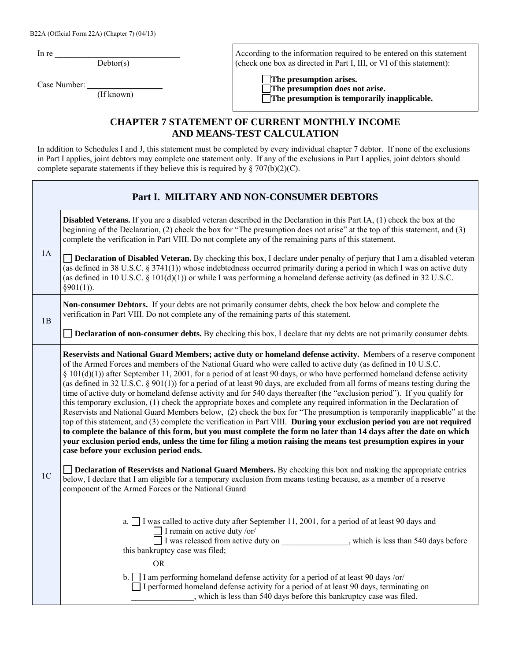B22A (Official Form 22A) (Chapter 7) (04/13)

In re  $\frac{1}{\sqrt{2\pi}}$ 

 $Debtor(s)$ 

Case Number:

(If known)

According to the information required to be entered on this statement (check one box as directed in Part I, III, or VI of this statement):

 **The presumption arises. The presumption does not arise. The presumption is temporarily inapplicable.**

## **CHAPTER 7 STATEMENT OF CURRENT MONTHLY INCOME AND MEANS-TEST CALCULATION**

In addition to Schedules I and J, this statement must be completed by every individual chapter 7 debtor. If none of the exclusions in Part I applies, joint debtors may complete one statement only. If any of the exclusions in Part I applies, joint debtors should complete separate statements if they believe this is required by  $\S 707(b)(2)(C)$ .

|                | Part I. MILITARY AND NON-CONSUMER DEBTORS                                                                                                                                                                                                                                                                                                                                                                                                                                                                                                                                                                                                                                                                                                                                                                                                                                                                                                                                                                                                                                                                                                                                                                                                                                                                                                                                                                                   |
|----------------|-----------------------------------------------------------------------------------------------------------------------------------------------------------------------------------------------------------------------------------------------------------------------------------------------------------------------------------------------------------------------------------------------------------------------------------------------------------------------------------------------------------------------------------------------------------------------------------------------------------------------------------------------------------------------------------------------------------------------------------------------------------------------------------------------------------------------------------------------------------------------------------------------------------------------------------------------------------------------------------------------------------------------------------------------------------------------------------------------------------------------------------------------------------------------------------------------------------------------------------------------------------------------------------------------------------------------------------------------------------------------------------------------------------------------------|
|                | <b>Disabled Veterans.</b> If you are a disabled veteran described in the Declaration in this Part IA, (1) check the box at the<br>beginning of the Declaration, (2) check the box for "The presumption does not arise" at the top of this statement, and (3)<br>complete the verification in Part VIII. Do not complete any of the remaining parts of this statement.                                                                                                                                                                                                                                                                                                                                                                                                                                                                                                                                                                                                                                                                                                                                                                                                                                                                                                                                                                                                                                                       |
| 1A             | <b>Declaration of Disabled Veteran.</b> By checking this box, I declare under penalty of perjury that I am a disabled veteran<br>(as defined in 38 U.S.C. § 3741(1)) whose indebtedness occurred primarily during a period in which I was on active duty<br>(as defined in 10 U.S.C. $\S$ 101(d)(1)) or while I was performing a homeland defense activity (as defined in 32 U.S.C.<br>$§901(1)$ ).                                                                                                                                                                                                                                                                                                                                                                                                                                                                                                                                                                                                                                                                                                                                                                                                                                                                                                                                                                                                                         |
| 1B             | Non-consumer Debtors. If your debts are not primarily consumer debts, check the box below and complete the<br>verification in Part VIII. Do not complete any of the remaining parts of this statement.                                                                                                                                                                                                                                                                                                                                                                                                                                                                                                                                                                                                                                                                                                                                                                                                                                                                                                                                                                                                                                                                                                                                                                                                                      |
|                | <b>Declaration of non-consumer debts.</b> By checking this box, I declare that my debts are not primarily consumer debts.                                                                                                                                                                                                                                                                                                                                                                                                                                                                                                                                                                                                                                                                                                                                                                                                                                                                                                                                                                                                                                                                                                                                                                                                                                                                                                   |
|                | Reservists and National Guard Members; active duty or homeland defense activity. Members of a reserve component<br>of the Armed Forces and members of the National Guard who were called to active duty (as defined in 10 U.S.C.<br>$\S$ 101(d)(1)) after September 11, 2001, for a period of at least 90 days, or who have performed homeland defense activity<br>(as defined in 32 U.S.C. § 901(1)) for a period of at least 90 days, are excluded from all forms of means testing during the<br>time of active duty or homeland defense activity and for 540 days thereafter (the "exclusion period"). If you qualify for<br>this temporary exclusion, (1) check the appropriate boxes and complete any required information in the Declaration of<br>Reservists and National Guard Members below, (2) check the box for "The presumption is temporarily inapplicable" at the<br>top of this statement, and (3) complete the verification in Part VIII. During your exclusion period you are not required<br>to complete the balance of this form, but you must complete the form no later than 14 days after the date on which<br>your exclusion period ends, unless the time for filing a motion raising the means test presumption expires in your<br>case before your exclusion period ends.<br><b>Declaration of Reservists and National Guard Members.</b> By checking this box and making the appropriate entries |
| 1 <sup>C</sup> | below, I declare that I am eligible for a temporary exclusion from means testing because, as a member of a reserve<br>component of the Armed Forces or the National Guard                                                                                                                                                                                                                                                                                                                                                                                                                                                                                                                                                                                                                                                                                                                                                                                                                                                                                                                                                                                                                                                                                                                                                                                                                                                   |
|                | a. $\Box$ I was called to active duty after September 11, 2001, for a period of at least 90 days and<br>I remain on active duty /or/<br>$\Box$ I was released from active duty on ________________, which is less than 540 days before<br>this bankruptcy case was filed;<br><b>OR</b>                                                                                                                                                                                                                                                                                                                                                                                                                                                                                                                                                                                                                                                                                                                                                                                                                                                                                                                                                                                                                                                                                                                                      |
|                | b. $\Box$ I am performing homeland defense activity for a period of at least 90 days /or/<br>$\Box$ I performed homeland defense activity for a period of at least 90 days, terminating on<br>, which is less than 540 days before this bankruptcy case was filed.                                                                                                                                                                                                                                                                                                                                                                                                                                                                                                                                                                                                                                                                                                                                                                                                                                                                                                                                                                                                                                                                                                                                                          |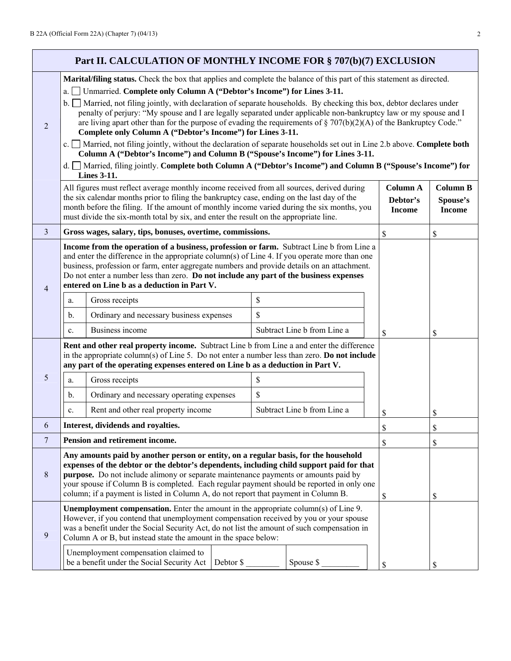2

| $\frac{1}{2}$                                                                                                                                                                                                                                                                                                                                                                                                                    |          |                 |
|----------------------------------------------------------------------------------------------------------------------------------------------------------------------------------------------------------------------------------------------------------------------------------------------------------------------------------------------------------------------------------------------------------------------------------|----------|-----------------|
| Part II. CALCULATION OF MONTHLY INCOME FOR § 707(b)(7) EXCLUSION                                                                                                                                                                                                                                                                                                                                                                 |          |                 |
| Marital/filing status. Check the box that applies and complete the balance of this part of this statement as directed.                                                                                                                                                                                                                                                                                                           |          |                 |
| a. $\Box$ Unmarried. Complete only Column A ("Debtor's Income") for Lines 3-11.                                                                                                                                                                                                                                                                                                                                                  |          |                 |
| b. Married, not filing jointly, with declaration of separate households. By checking this box, debtor declares under<br>penalty of perjury: "My spouse and I are legally separated under applicable non-bankruptcy law or my spouse and I<br>are living apart other than for the purpose of evading the requirements of $\S 707(b)(2)(A)$ of the Bankruptcy Code."<br>Complete only Column A ("Debtor's Income") for Lines 3-11. |          |                 |
| c. Married, not filing jointly, without the declaration of separate households set out in Line 2.b above. Complete both<br>Column A ("Debtor's Income") and Column B ("Spouse's Income") for Lines 3-11.                                                                                                                                                                                                                         |          |                 |
| d. ■ Married, filing jointly. Complete both Column A ("Debtor's Income") and Column B ("Spouse's Income") for<br><b>Lines 3-11.</b>                                                                                                                                                                                                                                                                                              |          |                 |
| All figures must reflect average monthly income received from all sources, derived during<br>$\mathcal{A}_1$ , the set of the formula contracts. Client $A_1$ , it is denoted by the set of the set of the set of $\mathcal{A}_2$ ,                                                                                                                                                                                              | Column A | <b>Column B</b> |

|                |                                                                                                                                                                                                                                                                                                                                                       | All figures must reflect average monthly income received from all sources, derived during<br>the six calendar months prior to filing the bankruptcy case, ending on the last day of the<br>month before the filing. If the amount of monthly income varied during the six months, you<br>must divide the six-month total by six, and enter the result on the appropriate line.                                                                             |           | <b>Column A</b><br>Debtor's<br><b>Income</b> | <b>Column B</b><br>Spouse's<br><b>Income</b> |    |
|----------------|-------------------------------------------------------------------------------------------------------------------------------------------------------------------------------------------------------------------------------------------------------------------------------------------------------------------------------------------------------|------------------------------------------------------------------------------------------------------------------------------------------------------------------------------------------------------------------------------------------------------------------------------------------------------------------------------------------------------------------------------------------------------------------------------------------------------------|-----------|----------------------------------------------|----------------------------------------------|----|
| 3              |                                                                                                                                                                                                                                                                                                                                                       | Gross wages, salary, tips, bonuses, overtime, commissions.                                                                                                                                                                                                                                                                                                                                                                                                 |           |                                              | $\mathbb{S}$                                 | \$ |
| $\overline{4}$ |                                                                                                                                                                                                                                                                                                                                                       | Income from the operation of a business, profession or farm. Subtract Line b from Line a<br>and enter the difference in the appropriate column(s) of Line 4. If you operate more than one<br>business, profession or farm, enter aggregate numbers and provide details on an attachment.<br>Do not enter a number less than zero. Do not include any part of the business expenses<br>entered on Line b as a deduction in Part V.                          |           |                                              |                                              |    |
|                | a.                                                                                                                                                                                                                                                                                                                                                    | Gross receipts                                                                                                                                                                                                                                                                                                                                                                                                                                             | \$        |                                              |                                              |    |
|                | b.                                                                                                                                                                                                                                                                                                                                                    | Ordinary and necessary business expenses                                                                                                                                                                                                                                                                                                                                                                                                                   | \$        |                                              |                                              |    |
|                | c.                                                                                                                                                                                                                                                                                                                                                    | Business income                                                                                                                                                                                                                                                                                                                                                                                                                                            |           | Subtract Line b from Line a                  | \$                                           | \$ |
| 5              | a.<br>b.<br>$\mathbf{c}$ .                                                                                                                                                                                                                                                                                                                            | Rent and other real property income. Subtract Line b from Line a and enter the difference<br>in the appropriate column(s) of Line 5. Do not enter a number less than zero. Do not include<br>any part of the operating expenses entered on Line b as a deduction in Part V.<br>Gross receipts<br>Ordinary and necessary operating expenses<br>Rent and other real property income                                                                          | \$<br>\$  | Subtract Line b from Line a                  | \$                                           | \$ |
| 6              |                                                                                                                                                                                                                                                                                                                                                       | Interest, dividends and royalties.                                                                                                                                                                                                                                                                                                                                                                                                                         |           |                                              | \$                                           | \$ |
| $\overline{7}$ |                                                                                                                                                                                                                                                                                                                                                       | Pension and retirement income.                                                                                                                                                                                                                                                                                                                                                                                                                             |           |                                              | \$                                           | \$ |
| $\,8\,$        |                                                                                                                                                                                                                                                                                                                                                       | Any amounts paid by another person or entity, on a regular basis, for the household<br>expenses of the debtor or the debtor's dependents, including child support paid for that<br>purpose. Do not include alimony or separate maintenance payments or amounts paid by<br>your spouse if Column B is completed. Each regular payment should be reported in only one<br>column; if a payment is listed in Column A, do not report that payment in Column B. |           |                                              | \$                                           | \$ |
| $\mathbf{9}$   | <b>Unemployment compensation.</b> Enter the amount in the appropriate column(s) of Line 9.<br>However, if you contend that unemployment compensation received by you or your spouse<br>was a benefit under the Social Security Act, do not list the amount of such compensation in<br>Column A or B, but instead state the amount in the space below: |                                                                                                                                                                                                                                                                                                                                                                                                                                                            |           |                                              |                                              |    |
|                |                                                                                                                                                                                                                                                                                                                                                       | Unemployment compensation claimed to<br>be a benefit under the Social Security Act                                                                                                                                                                                                                                                                                                                                                                         | Debtor \$ | Spouse \$                                    | \$                                           | \$ |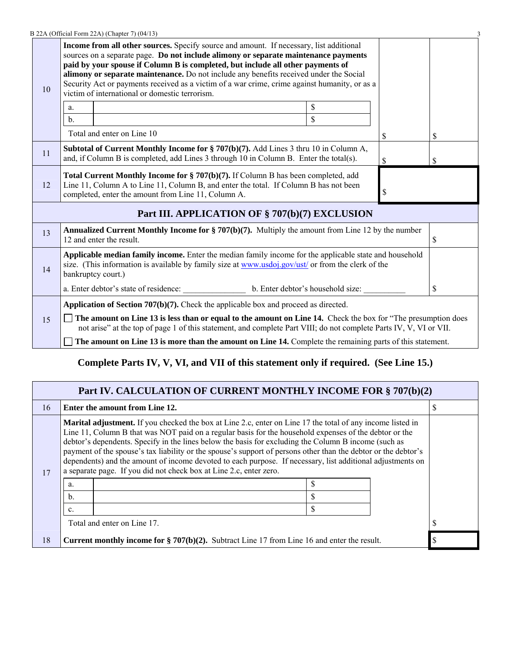|    | B 22A (Official Form 22A) (Chapter 7) (04/13)                                                                                                                                                                                                                                                                                                                                                                                                                                                                         |             |   |    |  |
|----|-----------------------------------------------------------------------------------------------------------------------------------------------------------------------------------------------------------------------------------------------------------------------------------------------------------------------------------------------------------------------------------------------------------------------------------------------------------------------------------------------------------------------|-------------|---|----|--|
| 10 | <b>Income from all other sources.</b> Specify source and amount. If necessary, list additional<br>sources on a separate page. Do not include alimony or separate maintenance payments<br>paid by your spouse if Column B is completed, but include all other payments of<br>alimony or separate maintenance. Do not include any benefits received under the Social<br>Security Act or payments received as a victim of a war crime, crime against humanity, or as a<br>victim of international or domestic terrorism. |             |   |    |  |
|    | a.                                                                                                                                                                                                                                                                                                                                                                                                                                                                                                                    | \$          |   |    |  |
|    | $\mathbf{b}$ .                                                                                                                                                                                                                                                                                                                                                                                                                                                                                                        | $\mathbf S$ |   |    |  |
|    | Total and enter on Line 10                                                                                                                                                                                                                                                                                                                                                                                                                                                                                            |             | S | \$ |  |
| 11 | <b>Subtotal of Current Monthly Income for § 707(b)(7).</b> Add Lines 3 thru 10 in Column A,<br>and, if Column B is completed, add Lines 3 through 10 in Column B. Enter the total(s).<br>\$<br><b>S</b>                                                                                                                                                                                                                                                                                                               |             |   |    |  |
| 12 | Total Current Monthly Income for § 707(b)(7). If Column B has been completed, add<br>Line 11, Column A to Line 11, Column B, and enter the total. If Column B has not been<br>\$<br>completed, enter the amount from Line 11, Column A.                                                                                                                                                                                                                                                                               |             |   |    |  |
|    | Part III. APPLICATION OF § 707(b)(7) EXCLUSION                                                                                                                                                                                                                                                                                                                                                                                                                                                                        |             |   |    |  |
| 13 | <b>Annualized Current Monthly Income for § 707(b)(7).</b> Multiply the amount from Line 12 by the number<br>12 and enter the result.<br><sup>S</sup>                                                                                                                                                                                                                                                                                                                                                                  |             |   |    |  |
| 14 | Applicable median family income. Enter the median family income for the applicable state and household<br>size. (This information is available by family size at www.usdoj.gov/ust/ or from the clerk of the<br>bankruptcy court.)                                                                                                                                                                                                                                                                                    |             |   |    |  |
|    | \$.                                                                                                                                                                                                                                                                                                                                                                                                                                                                                                                   |             |   |    |  |
|    | <b>Application of Section 707(b)(7).</b> Check the applicable box and proceed as directed.                                                                                                                                                                                                                                                                                                                                                                                                                            |             |   |    |  |
| 15 | The amount on Line 13 is less than or equal to the amount on Line 14. Check the box for "The presumption does"<br>not arise" at the top of page 1 of this statement, and complete Part VIII; do not complete Parts IV, V, VI or VII.                                                                                                                                                                                                                                                                                  |             |   |    |  |
|    | The amount on Line 13 is more than the amount on Line 14. Complete the remaining parts of this statement.                                                                                                                                                                                                                                                                                                                                                                                                             |             |   |    |  |

## **Complete Parts IV, V, VI, and VII of this statement only if required. (See Line 15.)**

|                                                                                                                                                                                                                                                                                                                                                                                                                                                                                                                                                                                                                                                                              | Part IV. CALCULATION OF CURRENT MONTHLY INCOME FOR § 707(b)(2) |                                                                                                    |   |  |  |  |
|------------------------------------------------------------------------------------------------------------------------------------------------------------------------------------------------------------------------------------------------------------------------------------------------------------------------------------------------------------------------------------------------------------------------------------------------------------------------------------------------------------------------------------------------------------------------------------------------------------------------------------------------------------------------------|----------------------------------------------------------------|----------------------------------------------------------------------------------------------------|---|--|--|--|
| 16                                                                                                                                                                                                                                                                                                                                                                                                                                                                                                                                                                                                                                                                           |                                                                | Enter the amount from Line 12.                                                                     | D |  |  |  |
| <b>Marital adjustment.</b> If you checked the box at Line 2.c, enter on Line 17 the total of any income listed in<br>Line 11, Column B that was NOT paid on a regular basis for the household expenses of the debtor or the<br>debtor's dependents. Specify in the lines below the basis for excluding the Column B income (such as<br>payment of the spouse's tax liability or the spouse's support of persons other than the debtor or the debtor's<br>dependents) and the amount of income devoted to each purpose. If necessary, list additional adjustments on<br>a separate page. If you did not check box at Line 2.c, enter zero.<br>17<br>a.<br>b.<br>\$<br>c.<br>¢ |                                                                |                                                                                                    |   |  |  |  |
| Total and enter on Line 17.                                                                                                                                                                                                                                                                                                                                                                                                                                                                                                                                                                                                                                                  |                                                                |                                                                                                    |   |  |  |  |
| 18                                                                                                                                                                                                                                                                                                                                                                                                                                                                                                                                                                                                                                                                           |                                                                | <b>Current monthly income for § 707(b)(2).</b> Subtract Line 17 from Line 16 and enter the result. |   |  |  |  |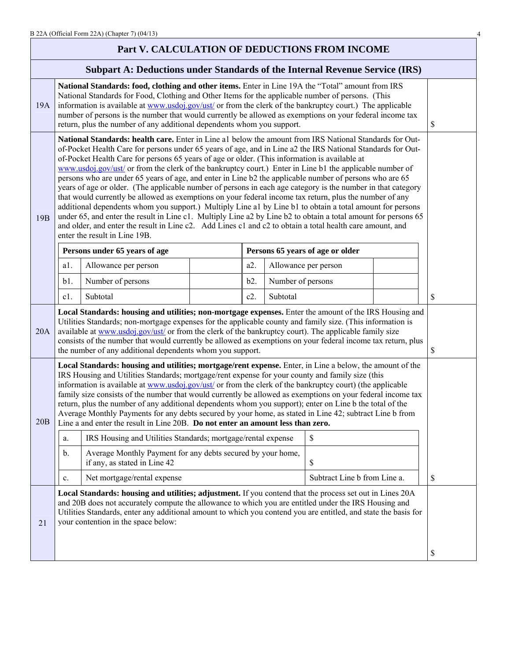## **Part V. CALCULATION OF DEDUCTIONS FROM INCOME**

## **Subpart A: Deductions under Standards of the Internal Revenue Service (IRS)**

|     | homo unuer o lundur do or the miller                                                                                                                                                                                                                                                                                                                                                                                                                                                                                                                                                                                                                                                                                                                                                                                                                                                                                                                                                                                                                                                                                                                   |                                                                                             |  |     |                   |                                  |  |    |
|-----|--------------------------------------------------------------------------------------------------------------------------------------------------------------------------------------------------------------------------------------------------------------------------------------------------------------------------------------------------------------------------------------------------------------------------------------------------------------------------------------------------------------------------------------------------------------------------------------------------------------------------------------------------------------------------------------------------------------------------------------------------------------------------------------------------------------------------------------------------------------------------------------------------------------------------------------------------------------------------------------------------------------------------------------------------------------------------------------------------------------------------------------------------------|---------------------------------------------------------------------------------------------|--|-----|-------------------|----------------------------------|--|----|
| 19A | National Standards: food, clothing and other items. Enter in Line 19A the "Total" amount from IRS<br>National Standards for Food, Clothing and Other Items for the applicable number of persons. (This<br>information is available at www.usdoj.gov/ust/ or from the clerk of the bankruptcy court.) The applicable<br>number of persons is the number that would currently be allowed as exemptions on your federal income tax<br>return, plus the number of any additional dependents whom you support.                                                                                                                                                                                                                                                                                                                                                                                                                                                                                                                                                                                                                                              |                                                                                             |  |     | \$                |                                  |  |    |
| 19B | National Standards: health care. Enter in Line a1 below the amount from IRS National Standards for Out-<br>of-Pocket Health Care for persons under 65 years of age, and in Line a2 the IRS National Standards for Out-<br>of-Pocket Health Care for persons 65 years of age or older. (This information is available at<br>www.usdoj.gov/ust/ or from the clerk of the bankruptcy court.) Enter in Line b1 the applicable number of<br>persons who are under 65 years of age, and enter in Line b2 the applicable number of persons who are 65<br>years of age or older. (The applicable number of persons in each age category is the number in that category<br>that would currently be allowed as exemptions on your federal income tax return, plus the number of any<br>additional dependents whom you support.) Multiply Line a1 by Line b1 to obtain a total amount for persons<br>under 65, and enter the result in Line c1. Multiply Line a2 by Line b2 to obtain a total amount for persons 65<br>and older, and enter the result in Line c2. Add Lines c1 and c2 to obtain a total health care amount, and<br>enter the result in Line 19B. |                                                                                             |  |     |                   |                                  |  |    |
|     |                                                                                                                                                                                                                                                                                                                                                                                                                                                                                                                                                                                                                                                                                                                                                                                                                                                                                                                                                                                                                                                                                                                                                        | Persons under 65 years of age                                                               |  |     |                   | Persons 65 years of age or older |  |    |
|     | a1.                                                                                                                                                                                                                                                                                                                                                                                                                                                                                                                                                                                                                                                                                                                                                                                                                                                                                                                                                                                                                                                                                                                                                    | Allowance per person                                                                        |  | a2. |                   | Allowance per person             |  |    |
|     | b1.                                                                                                                                                                                                                                                                                                                                                                                                                                                                                                                                                                                                                                                                                                                                                                                                                                                                                                                                                                                                                                                                                                                                                    | Number of persons                                                                           |  | b2. | Number of persons |                                  |  |    |
|     | $c1$ .                                                                                                                                                                                                                                                                                                                                                                                                                                                                                                                                                                                                                                                                                                                                                                                                                                                                                                                                                                                                                                                                                                                                                 | Subtotal                                                                                    |  | c2. | Subtotal          |                                  |  | \$ |
| 20A | Local Standards: housing and utilities; non-mortgage expenses. Enter the amount of the IRS Housing and<br>Utilities Standards; non-mortgage expenses for the applicable county and family size. (This information is<br>available at www.usdoj.gov/ust/ or from the clerk of the bankruptcy court). The applicable family size<br>consists of the number that would currently be allowed as exemptions on your federal income tax return, plus<br>the number of any additional dependents whom you support.                                                                                                                                                                                                                                                                                                                                                                                                                                                                                                                                                                                                                                            |                                                                                             |  | \$  |                   |                                  |  |    |
| 20B | Local Standards: housing and utilities; mortgage/rent expense. Enter, in Line a below, the amount of the<br>IRS Housing and Utilities Standards; mortgage/rent expense for your county and family size (this<br>information is available at www.usdoj.gov/ust/ or from the clerk of the bankruptcy court) (the applicable<br>family size consists of the number that would currently be allowed as exemptions on your federal income tax<br>return, plus the number of any additional dependents whom you support); enter on Line b the total of the<br>Average Monthly Payments for any debts secured by your home, as stated in Line 42; subtract Line b from<br>Line a and enter the result in Line 20B. Do not enter an amount less than zero.                                                                                                                                                                                                                                                                                                                                                                                                     |                                                                                             |  |     |                   |                                  |  |    |
|     | a.                                                                                                                                                                                                                                                                                                                                                                                                                                                                                                                                                                                                                                                                                                                                                                                                                                                                                                                                                                                                                                                                                                                                                     | IRS Housing and Utilities Standards; mortgage/rental expense                                |  |     |                   | \$                               |  |    |
|     | $\mathbf b$ .                                                                                                                                                                                                                                                                                                                                                                                                                                                                                                                                                                                                                                                                                                                                                                                                                                                                                                                                                                                                                                                                                                                                          | Average Monthly Payment for any debts secured by your home,<br>if any, as stated in Line 42 |  |     |                   | \$                               |  |    |
|     | c.                                                                                                                                                                                                                                                                                                                                                                                                                                                                                                                                                                                                                                                                                                                                                                                                                                                                                                                                                                                                                                                                                                                                                     | Net mortgage/rental expense                                                                 |  |     |                   | Subtract Line b from Line a.     |  | \$ |
| 21  | Local Standards: housing and utilities; adjustment. If you contend that the process set out in Lines 20A<br>and 20B does not accurately compute the allowance to which you are entitled under the IRS Housing and<br>Utilities Standards, enter any additional amount to which you contend you are entitled, and state the basis for<br>your contention in the space below:                                                                                                                                                                                                                                                                                                                                                                                                                                                                                                                                                                                                                                                                                                                                                                            |                                                                                             |  |     |                   |                                  |  |    |
|     |                                                                                                                                                                                                                                                                                                                                                                                                                                                                                                                                                                                                                                                                                                                                                                                                                                                                                                                                                                                                                                                                                                                                                        |                                                                                             |  |     |                   |                                  |  | \$ |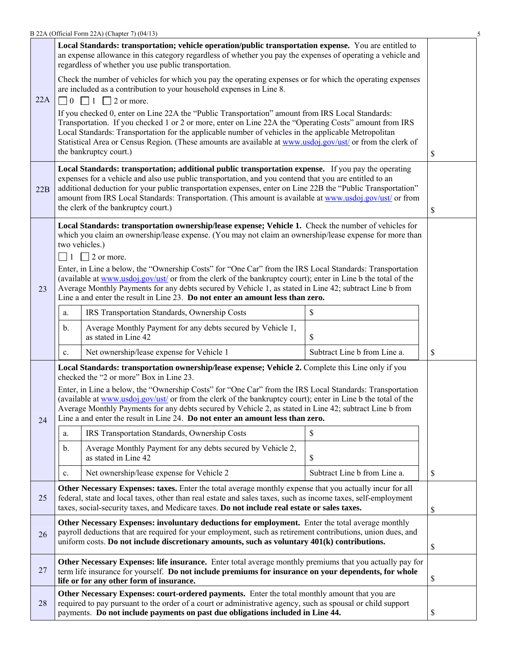|     |                                                                                                                                                                                                                                                                                                                                                                                                                                                                                       | B 22A (Official Form 22A) (Chapter 7) (04/13)                                                                                                                                                                                                                                                                                                                                                                                                                    |                              |    |  |
|-----|---------------------------------------------------------------------------------------------------------------------------------------------------------------------------------------------------------------------------------------------------------------------------------------------------------------------------------------------------------------------------------------------------------------------------------------------------------------------------------------|------------------------------------------------------------------------------------------------------------------------------------------------------------------------------------------------------------------------------------------------------------------------------------------------------------------------------------------------------------------------------------------------------------------------------------------------------------------|------------------------------|----|--|
|     |                                                                                                                                                                                                                                                                                                                                                                                                                                                                                       | Local Standards: transportation; vehicle operation/public transportation expense. You are entitled to<br>an expense allowance in this category regardless of whether you pay the expenses of operating a vehicle and<br>regardless of whether you use public transportation.                                                                                                                                                                                     |                              |    |  |
| 22A |                                                                                                                                                                                                                                                                                                                                                                                                                                                                                       | Check the number of vehicles for which you pay the operating expenses or for which the operating expenses<br>are included as a contribution to your household expenses in Line 8.<br>$\Box$ 0 $\Box$ 1 $\Box$ 2 or more.                                                                                                                                                                                                                                         |                              |    |  |
|     |                                                                                                                                                                                                                                                                                                                                                                                                                                                                                       | If you checked 0, enter on Line 22A the "Public Transportation" amount from IRS Local Standards:<br>Transportation. If you checked 1 or 2 or more, enter on Line 22A the "Operating Costs" amount from IRS<br>Local Standards: Transportation for the applicable number of vehicles in the applicable Metropolitan<br>Statistical Area or Census Region. (These amounts are available at www.usdoj.gov/ust/ or from the clerk of<br>the bankruptcy court.)<br>\$ |                              |    |  |
| 22B | Local Standards: transportation; additional public transportation expense. If you pay the operating<br>expenses for a vehicle and also use public transportation, and you contend that you are entitled to an<br>additional deduction for your public transportation expenses, enter on Line 22B the "Public Transportation"<br>amount from IRS Local Standards: Transportation. (This amount is available at www.usdoj.gov/ust/ or from<br>the clerk of the bankruptcy court.)<br>\$ |                                                                                                                                                                                                                                                                                                                                                                                                                                                                  |                              |    |  |
|     | Local Standards: transportation ownership/lease expense; Vehicle 1. Check the number of vehicles for<br>which you claim an ownership/lease expense. (You may not claim an ownership/lease expense for more than<br>two vehicles.)<br>$\Box$ 1 $\Box$ 2 or more.                                                                                                                                                                                                                       |                                                                                                                                                                                                                                                                                                                                                                                                                                                                  |                              |    |  |
| 23  | Enter, in Line a below, the "Ownership Costs" for "One Car" from the IRS Local Standards: Transportation<br>(available at www.usdoj.gov/ust/ or from the clerk of the bankruptcy court); enter in Line b the total of the<br>Average Monthly Payments for any debts secured by Vehicle 1, as stated in Line 42; subtract Line b from<br>Line a and enter the result in Line 23. Do not enter an amount less than zero.                                                                |                                                                                                                                                                                                                                                                                                                                                                                                                                                                  |                              |    |  |
|     | a.                                                                                                                                                                                                                                                                                                                                                                                                                                                                                    | IRS Transportation Standards, Ownership Costs                                                                                                                                                                                                                                                                                                                                                                                                                    | \$                           |    |  |
|     | $b$ .                                                                                                                                                                                                                                                                                                                                                                                                                                                                                 | Average Monthly Payment for any debts secured by Vehicle 1,<br>as stated in Line 42                                                                                                                                                                                                                                                                                                                                                                              | \$                           |    |  |
|     | $\mathbf{c}$ .                                                                                                                                                                                                                                                                                                                                                                                                                                                                        | Net ownership/lease expense for Vehicle 1                                                                                                                                                                                                                                                                                                                                                                                                                        | Subtract Line b from Line a. | \$ |  |
|     |                                                                                                                                                                                                                                                                                                                                                                                                                                                                                       | Local Standards: transportation ownership/lease expense; Vehicle 2. Complete this Line only if you<br>checked the "2 or more" Box in Line 23.                                                                                                                                                                                                                                                                                                                    |                              |    |  |
| 24  |                                                                                                                                                                                                                                                                                                                                                                                                                                                                                       | Enter, in Line a below, the "Ownership Costs" for "One Car" from the IRS Local Standards: Transportation<br>(available at www.usdoj.gov/ust/ or from the clerk of the bankruptcy court); enter in Line b the total of the<br>Average Monthly Payments for any debts secured by Vehicle 2, as stated in Line 42; subtract Line b from<br>Line a and enter the result in Line 24. Do not enter an amount less than zero.                                           |                              |    |  |
|     | a.                                                                                                                                                                                                                                                                                                                                                                                                                                                                                    | IRS Transportation Standards, Ownership Costs                                                                                                                                                                                                                                                                                                                                                                                                                    | \$                           |    |  |
|     | $\mathbf b$ .                                                                                                                                                                                                                                                                                                                                                                                                                                                                         | Average Monthly Payment for any debts secured by Vehicle 2,<br>as stated in Line 42                                                                                                                                                                                                                                                                                                                                                                              | \$                           |    |  |
|     | $\mathbf{c}.$                                                                                                                                                                                                                                                                                                                                                                                                                                                                         | Net ownership/lease expense for Vehicle 2                                                                                                                                                                                                                                                                                                                                                                                                                        | Subtract Line b from Line a. | \$ |  |
| 25  | Other Necessary Expenses: taxes. Enter the total average monthly expense that you actually incur for all<br>federal, state and local taxes, other than real estate and sales taxes, such as income taxes, self-employment<br>taxes, social-security taxes, and Medicare taxes. Do not include real estate or sales taxes.<br>\$                                                                                                                                                       |                                                                                                                                                                                                                                                                                                                                                                                                                                                                  |                              |    |  |
| 26  | Other Necessary Expenses: involuntary deductions for employment. Enter the total average monthly<br>payroll deductions that are required for your employment, such as retirement contributions, union dues, and<br>uniform costs. Do not include discretionary amounts, such as voluntary 401(k) contributions.<br>\$                                                                                                                                                                 |                                                                                                                                                                                                                                                                                                                                                                                                                                                                  |                              |    |  |
| 27  |                                                                                                                                                                                                                                                                                                                                                                                                                                                                                       | Other Necessary Expenses: life insurance. Enter total average monthly premiums that you actually pay for<br>term life insurance for yourself. Do not include premiums for insurance on your dependents, for whole<br>life or for any other form of insurance.                                                                                                                                                                                                    |                              | \$ |  |
| 28  |                                                                                                                                                                                                                                                                                                                                                                                                                                                                                       | Other Necessary Expenses: court-ordered payments. Enter the total monthly amount that you are<br>required to pay pursuant to the order of a court or administrative agency, such as spousal or child support<br>payments. Do not include payments on past due obligations included in Line 44.                                                                                                                                                                   |                              | \$ |  |
|     |                                                                                                                                                                                                                                                                                                                                                                                                                                                                                       |                                                                                                                                                                                                                                                                                                                                                                                                                                                                  |                              |    |  |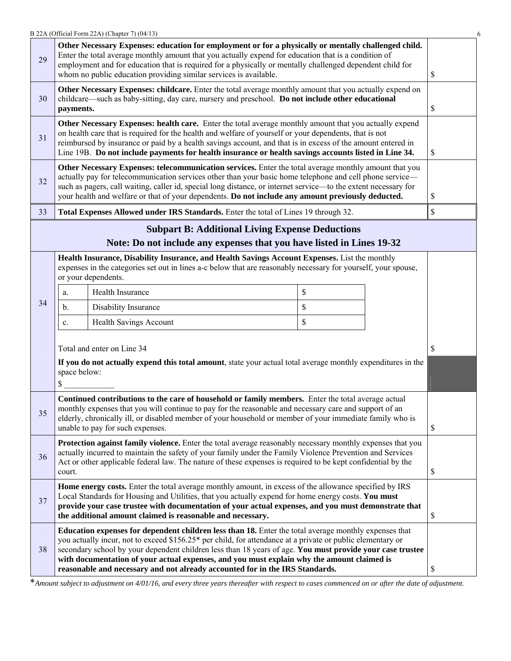|                                                                                                                                                                                                                                                                                                                                                                                                                                                  |                                                                                                                                                                                                                                                                                                                                                                                          | B 22A (Official Form 22A) (Chapter 7) (04/13)                                                                                                                                                                                                                                                                                                                                                                                                                                                                  |    |  |               |  |
|--------------------------------------------------------------------------------------------------------------------------------------------------------------------------------------------------------------------------------------------------------------------------------------------------------------------------------------------------------------------------------------------------------------------------------------------------|------------------------------------------------------------------------------------------------------------------------------------------------------------------------------------------------------------------------------------------------------------------------------------------------------------------------------------------------------------------------------------------|----------------------------------------------------------------------------------------------------------------------------------------------------------------------------------------------------------------------------------------------------------------------------------------------------------------------------------------------------------------------------------------------------------------------------------------------------------------------------------------------------------------|----|--|---------------|--|
| 29                                                                                                                                                                                                                                                                                                                                                                                                                                               |                                                                                                                                                                                                                                                                                                                                                                                          | Other Necessary Expenses: education for employment or for a physically or mentally challenged child.<br>Enter the total average monthly amount that you actually expend for education that is a condition of<br>employment and for education that is required for a physically or mentally challenged dependent child for<br>whom no public education providing similar services is available.                                                                                                                 |    |  | <sup>\$</sup> |  |
| Other Necessary Expenses: childcare. Enter the total average monthly amount that you actually expend on<br>childcare—such as baby-sitting, day care, nursery and preschool. Do not include other educational<br>30<br>payments.                                                                                                                                                                                                                  |                                                                                                                                                                                                                                                                                                                                                                                          |                                                                                                                                                                                                                                                                                                                                                                                                                                                                                                                |    |  | \$            |  |
| Other Necessary Expenses: health care. Enter the total average monthly amount that you actually expend<br>on health care that is required for the health and welfare of yourself or your dependents, that is not<br>31<br>reimbursed by insurance or paid by a health savings account, and that is in excess of the amount entered in<br>Line 19B. Do not include payments for health insurance or health savings accounts listed in Line 34.    |                                                                                                                                                                                                                                                                                                                                                                                          |                                                                                                                                                                                                                                                                                                                                                                                                                                                                                                                |    |  | \$            |  |
| Other Necessary Expenses: telecommunication services. Enter the total average monthly amount that you<br>actually pay for telecommunication services other than your basic home telephone and cell phone service—<br>32<br>such as pagers, call waiting, caller id, special long distance, or internet service—to the extent necessary for<br>your health and welfare or that of your dependents. Do not include any amount previously deducted. |                                                                                                                                                                                                                                                                                                                                                                                          |                                                                                                                                                                                                                                                                                                                                                                                                                                                                                                                |    |  | S             |  |
| 33                                                                                                                                                                                                                                                                                                                                                                                                                                               | Total Expenses Allowed under IRS Standards. Enter the total of Lines 19 through 32.                                                                                                                                                                                                                                                                                                      |                                                                                                                                                                                                                                                                                                                                                                                                                                                                                                                |    |  |               |  |
|                                                                                                                                                                                                                                                                                                                                                                                                                                                  |                                                                                                                                                                                                                                                                                                                                                                                          | <b>Subpart B: Additional Living Expense Deductions</b>                                                                                                                                                                                                                                                                                                                                                                                                                                                         |    |  |               |  |
|                                                                                                                                                                                                                                                                                                                                                                                                                                                  |                                                                                                                                                                                                                                                                                                                                                                                          | Note: Do not include any expenses that you have listed in Lines 19-32                                                                                                                                                                                                                                                                                                                                                                                                                                          |    |  |               |  |
|                                                                                                                                                                                                                                                                                                                                                                                                                                                  | Health Insurance, Disability Insurance, and Health Savings Account Expenses. List the monthly<br>expenses in the categories set out in lines a-c below that are reasonably necessary for yourself, your spouse,<br>or your dependents.                                                                                                                                                   |                                                                                                                                                                                                                                                                                                                                                                                                                                                                                                                |    |  |               |  |
|                                                                                                                                                                                                                                                                                                                                                                                                                                                  | a.                                                                                                                                                                                                                                                                                                                                                                                       | Health Insurance                                                                                                                                                                                                                                                                                                                                                                                                                                                                                               | \$ |  |               |  |
| 34                                                                                                                                                                                                                                                                                                                                                                                                                                               | b.                                                                                                                                                                                                                                                                                                                                                                                       | Disability Insurance                                                                                                                                                                                                                                                                                                                                                                                                                                                                                           | \$ |  |               |  |
|                                                                                                                                                                                                                                                                                                                                                                                                                                                  | c.                                                                                                                                                                                                                                                                                                                                                                                       | <b>Health Savings Account</b>                                                                                                                                                                                                                                                                                                                                                                                                                                                                                  | \$ |  |               |  |
|                                                                                                                                                                                                                                                                                                                                                                                                                                                  |                                                                                                                                                                                                                                                                                                                                                                                          | Total and enter on Line 34                                                                                                                                                                                                                                                                                                                                                                                                                                                                                     |    |  | <sup>\$</sup> |  |
|                                                                                                                                                                                                                                                                                                                                                                                                                                                  | If you do not actually expend this total amount, state your actual total average monthly expenditures in the<br>space below:<br>S                                                                                                                                                                                                                                                        |                                                                                                                                                                                                                                                                                                                                                                                                                                                                                                                |    |  |               |  |
| 35                                                                                                                                                                                                                                                                                                                                                                                                                                               | Continued contributions to the care of household or family members. Enter the total average actual<br>monthly expenses that you will continue to pay for the reasonable and necessary care and support of an<br>elderly, chronically ill, or disabled member of your household or member of your immediate family who is<br>unable to pay for such expenses.<br>\$                       |                                                                                                                                                                                                                                                                                                                                                                                                                                                                                                                |    |  |               |  |
| 36                                                                                                                                                                                                                                                                                                                                                                                                                                               | Protection against family violence. Enter the total average reasonably necessary monthly expenses that you<br>actually incurred to maintain the safety of your family under the Family Violence Prevention and Services<br>Act or other applicable federal law. The nature of these expenses is required to be kept confidential by the<br>\$<br>court.                                  |                                                                                                                                                                                                                                                                                                                                                                                                                                                                                                                |    |  |               |  |
| 37                                                                                                                                                                                                                                                                                                                                                                                                                                               | Home energy costs. Enter the total average monthly amount, in excess of the allowance specified by IRS<br>Local Standards for Housing and Utilities, that you actually expend for home energy costs. You must<br>provide your case trustee with documentation of your actual expenses, and you must demonstrate that<br>the additional amount claimed is reasonable and necessary.<br>\$ |                                                                                                                                                                                                                                                                                                                                                                                                                                                                                                                |    |  |               |  |
| 38                                                                                                                                                                                                                                                                                                                                                                                                                                               |                                                                                                                                                                                                                                                                                                                                                                                          | Education expenses for dependent children less than 18. Enter the total average monthly expenses that<br>you actually incur, not to exceed \$156.25* per child, for attendance at a private or public elementary or<br>secondary school by your dependent children less than 18 years of age. You must provide your case trustee<br>with documentation of your actual expenses, and you must explain why the amount claimed is<br>reasonable and necessary and not already accounted for in the IRS Standards. |    |  | \$            |  |

\**Amount subject to adjustment on 4/01/16, and every three years thereafter with respect to cases commenced on or after the date of adjustment.*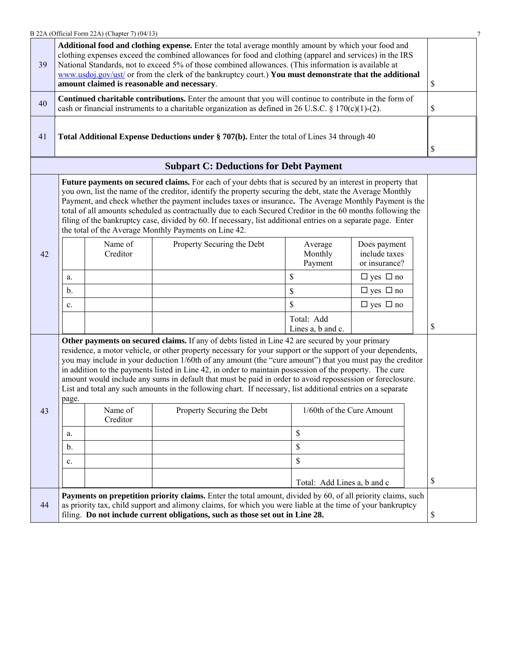|    |                                                                                                                                                                                                                                                                                                                                                                                                                                                                                   | B 22A (Official Form 22A) (Chapter 7) (04/13) |                                                                                                                                                                                                                                                                                                                                                                                                                                                                                                                                                                                                                                                                                                   |                                 |                                                |    |
|----|-----------------------------------------------------------------------------------------------------------------------------------------------------------------------------------------------------------------------------------------------------------------------------------------------------------------------------------------------------------------------------------------------------------------------------------------------------------------------------------|-----------------------------------------------|---------------------------------------------------------------------------------------------------------------------------------------------------------------------------------------------------------------------------------------------------------------------------------------------------------------------------------------------------------------------------------------------------------------------------------------------------------------------------------------------------------------------------------------------------------------------------------------------------------------------------------------------------------------------------------------------------|---------------------------------|------------------------------------------------|----|
| 39 | Additional food and clothing expense. Enter the total average monthly amount by which your food and<br>clothing expenses exceed the combined allowances for food and clothing (apparel and services) in the IRS<br>National Standards, not to exceed 5% of those combined allowances. (This information is available at<br>www.usdoj.gov/ust/ or from the clerk of the bankruptcy court.) You must demonstrate that the additional<br>amount claimed is reasonable and necessary. |                                               |                                                                                                                                                                                                                                                                                                                                                                                                                                                                                                                                                                                                                                                                                                   |                                 |                                                | \$ |
| 40 |                                                                                                                                                                                                                                                                                                                                                                                                                                                                                   |                                               | Continued charitable contributions. Enter the amount that you will continue to contribute in the form of<br>cash or financial instruments to a charitable organization as defined in 26 U.S.C. § 170(c)(1)-(2).                                                                                                                                                                                                                                                                                                                                                                                                                                                                                   |                                 |                                                | \$ |
| 41 |                                                                                                                                                                                                                                                                                                                                                                                                                                                                                   |                                               | Total Additional Expense Deductions under § 707(b). Enter the total of Lines 34 through 40                                                                                                                                                                                                                                                                                                                                                                                                                                                                                                                                                                                                        |                                 |                                                | \$ |
|    |                                                                                                                                                                                                                                                                                                                                                                                                                                                                                   |                                               | <b>Subpart C: Deductions for Debt Payment</b>                                                                                                                                                                                                                                                                                                                                                                                                                                                                                                                                                                                                                                                     |                                 |                                                |    |
|    |                                                                                                                                                                                                                                                                                                                                                                                                                                                                                   |                                               | Future payments on secured claims. For each of your debts that is secured by an interest in property that<br>you own, list the name of the creditor, identify the property securing the debt, state the Average Monthly<br>Payment, and check whether the payment includes taxes or insurance. The Average Monthly Payment is the<br>total of all amounts scheduled as contractually due to each Secured Creditor in the 60 months following the<br>filing of the bankruptcy case, divided by 60. If necessary, list additional entries on a separate page. Enter<br>the total of the Average Monthly Payments on Line 42.                                                                        |                                 |                                                |    |
| 42 |                                                                                                                                                                                                                                                                                                                                                                                                                                                                                   | Name of<br>Creditor                           | Property Securing the Debt                                                                                                                                                                                                                                                                                                                                                                                                                                                                                                                                                                                                                                                                        | Average<br>Monthly<br>Payment   | Does payment<br>include taxes<br>or insurance? |    |
|    | a.                                                                                                                                                                                                                                                                                                                                                                                                                                                                                |                                               |                                                                                                                                                                                                                                                                                                                                                                                                                                                                                                                                                                                                                                                                                                   | \$                              | $\Box$ yes $\Box$ no                           |    |
|    | b.                                                                                                                                                                                                                                                                                                                                                                                                                                                                                |                                               |                                                                                                                                                                                                                                                                                                                                                                                                                                                                                                                                                                                                                                                                                                   | \$                              | $\Box$ yes $\Box$ no                           |    |
|    | c.                                                                                                                                                                                                                                                                                                                                                                                                                                                                                |                                               |                                                                                                                                                                                                                                                                                                                                                                                                                                                                                                                                                                                                                                                                                                   | \$                              | $\Box$ yes $\Box$ no                           |    |
|    |                                                                                                                                                                                                                                                                                                                                                                                                                                                                                   |                                               |                                                                                                                                                                                                                                                                                                                                                                                                                                                                                                                                                                                                                                                                                                   | Total: Add<br>Lines a, b and c. |                                                | \$ |
| 43 | page.                                                                                                                                                                                                                                                                                                                                                                                                                                                                             | Name of                                       | Other payments on secured claims. If any of debts listed in Line 42 are secured by your primary<br>residence, a motor vehicle, or other property necessary for your support or the support of your dependents,<br>you may include in your deduction 1/60th of any amount (the "cure amount") that you must pay the creditor<br>in addition to the payments listed in Line 42, in order to maintain possession of the property. The cure<br>amount would include any sums in default that must be paid in order to avoid repossession or foreclosure.<br>List and total any such amounts in the following chart. If necessary, list additional entries on a separate<br>Property Securing the Debt | 1/60th of the Cure Amount       |                                                |    |
|    |                                                                                                                                                                                                                                                                                                                                                                                                                                                                                   | Creditor                                      |                                                                                                                                                                                                                                                                                                                                                                                                                                                                                                                                                                                                                                                                                                   |                                 |                                                |    |
|    | a.                                                                                                                                                                                                                                                                                                                                                                                                                                                                                |                                               |                                                                                                                                                                                                                                                                                                                                                                                                                                                                                                                                                                                                                                                                                                   | \$                              |                                                |    |
|    | $b$ .                                                                                                                                                                                                                                                                                                                                                                                                                                                                             |                                               |                                                                                                                                                                                                                                                                                                                                                                                                                                                                                                                                                                                                                                                                                                   | \$                              |                                                |    |
|    | $c_{\cdot}$                                                                                                                                                                                                                                                                                                                                                                                                                                                                       |                                               |                                                                                                                                                                                                                                                                                                                                                                                                                                                                                                                                                                                                                                                                                                   | \$                              |                                                |    |
|    |                                                                                                                                                                                                                                                                                                                                                                                                                                                                                   |                                               |                                                                                                                                                                                                                                                                                                                                                                                                                                                                                                                                                                                                                                                                                                   | Total: Add Lines a, b and c     |                                                | S  |
| 44 |                                                                                                                                                                                                                                                                                                                                                                                                                                                                                   |                                               | Payments on prepetition priority claims. Enter the total amount, divided by 60, of all priority claims, such<br>as priority tax, child support and alimony claims, for which you were liable at the time of your bankruptcy<br>filing. Do not include current obligations, such as those set out in Line 28.                                                                                                                                                                                                                                                                                                                                                                                      |                                 |                                                | \$ |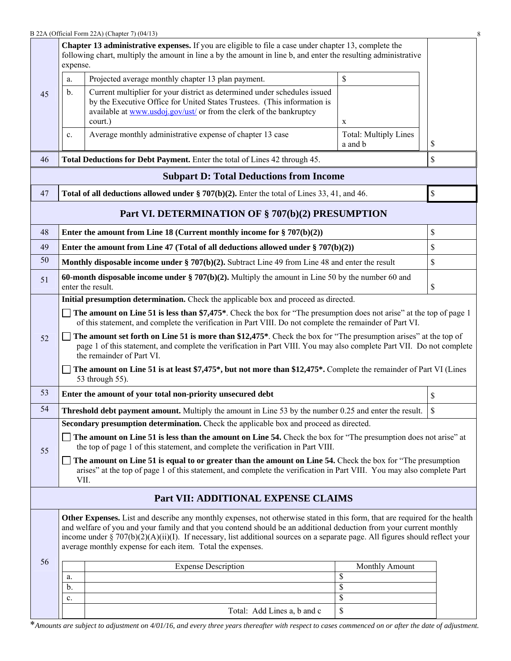|    | <b>Chapter 13 administrative expenses.</b> If you are eligible to file a case under chapter 13, complete the<br>following chart, multiply the amount in line a by the amount in line b, and enter the resulting administrative<br>expense.                             |                                                                                                                                                                                                                                                                                                                                                                                                                                                       |                                         |                    |  |  |  |  |
|----|------------------------------------------------------------------------------------------------------------------------------------------------------------------------------------------------------------------------------------------------------------------------|-------------------------------------------------------------------------------------------------------------------------------------------------------------------------------------------------------------------------------------------------------------------------------------------------------------------------------------------------------------------------------------------------------------------------------------------------------|-----------------------------------------|--------------------|--|--|--|--|
|    | a.                                                                                                                                                                                                                                                                     | Projected average monthly chapter 13 plan payment.                                                                                                                                                                                                                                                                                                                                                                                                    | \$                                      |                    |  |  |  |  |
| 45 | $\mathbf{b}$ .                                                                                                                                                                                                                                                         | Current multiplier for your district as determined under schedules issued<br>by the Executive Office for United States Trustees. (This information is<br>available at www.usdoj.gov/ust/ or from the clerk of the bankruptcy<br>court.)                                                                                                                                                                                                               | $\mathbf X$                             |                    |  |  |  |  |
|    | $\mathbf{c}$ .                                                                                                                                                                                                                                                         | Average monthly administrative expense of chapter 13 case                                                                                                                                                                                                                                                                                                                                                                                             | <b>Total: Multiply Lines</b><br>a and b | \$                 |  |  |  |  |
| 46 |                                                                                                                                                                                                                                                                        | Total Deductions for Debt Payment. Enter the total of Lines 42 through 45.                                                                                                                                                                                                                                                                                                                                                                            |                                         | \$                 |  |  |  |  |
|    |                                                                                                                                                                                                                                                                        | <b>Subpart D: Total Deductions from Income</b>                                                                                                                                                                                                                                                                                                                                                                                                        |                                         |                    |  |  |  |  |
| 47 |                                                                                                                                                                                                                                                                        | Total of all deductions allowed under $\S 707(b)(2)$ . Enter the total of Lines 33, 41, and 46.                                                                                                                                                                                                                                                                                                                                                       |                                         | \$                 |  |  |  |  |
|    |                                                                                                                                                                                                                                                                        | Part VI. DETERMINATION OF § 707(b)(2) PRESUMPTION                                                                                                                                                                                                                                                                                                                                                                                                     |                                         |                    |  |  |  |  |
| 48 | \$<br>Enter the amount from Line 18 (Current monthly income for $\S 707(b)(2)$ )                                                                                                                                                                                       |                                                                                                                                                                                                                                                                                                                                                                                                                                                       |                                         |                    |  |  |  |  |
| 49 |                                                                                                                                                                                                                                                                        | Enter the amount from Line 47 (Total of all deductions allowed under $\S 707(b)(2)$ )                                                                                                                                                                                                                                                                                                                                                                 |                                         | \$                 |  |  |  |  |
| 50 |                                                                                                                                                                                                                                                                        | Monthly disposable income under $\S 707(b)(2)$ . Subtract Line 49 from Line 48 and enter the result                                                                                                                                                                                                                                                                                                                                                   |                                         | \$                 |  |  |  |  |
| 51 | 60-month disposable income under $\S 707(b)(2)$ . Multiply the amount in Line 50 by the number 60 and<br>\$<br>enter the result.                                                                                                                                       |                                                                                                                                                                                                                                                                                                                                                                                                                                                       |                                         |                    |  |  |  |  |
|    |                                                                                                                                                                                                                                                                        | Initial presumption determination. Check the applicable box and proceed as directed.                                                                                                                                                                                                                                                                                                                                                                  |                                         |                    |  |  |  |  |
|    |                                                                                                                                                                                                                                                                        | The amount on Line 51 is less than \$7,475*. Check the box for "The presumption does not arise" at the top of page 1<br>of this statement, and complete the verification in Part VIII. Do not complete the remainder of Part VI.                                                                                                                                                                                                                      |                                         |                    |  |  |  |  |
| 52 | The amount set forth on Line 51 is more than \$12,475*. Check the box for "The presumption arises" at the top of<br>page 1 of this statement, and complete the verification in Part VIII. You may also complete Part VII. Do not complete<br>the remainder of Part VI. |                                                                                                                                                                                                                                                                                                                                                                                                                                                       |                                         |                    |  |  |  |  |
|    |                                                                                                                                                                                                                                                                        | The amount on Line 51 is at least \$7,475*, but not more than \$12,475*. Complete the remainder of Part VI (Lines<br>53 through 55).                                                                                                                                                                                                                                                                                                                  |                                         |                    |  |  |  |  |
| 53 |                                                                                                                                                                                                                                                                        | Enter the amount of your total non-priority unsecured debt                                                                                                                                                                                                                                                                                                                                                                                            |                                         | \$                 |  |  |  |  |
| 54 |                                                                                                                                                                                                                                                                        | Threshold debt payment amount. Multiply the amount in Line 53 by the number 0.25 and enter the result.                                                                                                                                                                                                                                                                                                                                                |                                         | $\mathbf{\hat{z}}$ |  |  |  |  |
|    |                                                                                                                                                                                                                                                                        | Secondary presumption determination. Check the applicable box and proceed as directed.                                                                                                                                                                                                                                                                                                                                                                |                                         |                    |  |  |  |  |
| 55 | The amount on Line 51 is less than the amount on Line 54. Check the box for "The presumption does not arise" at<br>the top of page 1 of this statement, and complete the verification in Part VIII.                                                                    |                                                                                                                                                                                                                                                                                                                                                                                                                                                       |                                         |                    |  |  |  |  |
|    | The amount on Line 51 is equal to or greater than the amount on Line 54. Check the box for "The presumption"<br>arises" at the top of page 1 of this statement, and complete the verification in Part VIII. You may also complete Part<br>VII.                         |                                                                                                                                                                                                                                                                                                                                                                                                                                                       |                                         |                    |  |  |  |  |
|    |                                                                                                                                                                                                                                                                        | Part VII: ADDITIONAL EXPENSE CLAIMS                                                                                                                                                                                                                                                                                                                                                                                                                   |                                         |                    |  |  |  |  |
|    |                                                                                                                                                                                                                                                                        | Other Expenses. List and describe any monthly expenses, not otherwise stated in this form, that are required for the health<br>and welfare of you and your family and that you contend should be an additional deduction from your current monthly<br>income under $\S 707(b)(2)(A)(ii)(I)$ . If necessary, list additional sources on a separate page. All figures should reflect your<br>average monthly expense for each item. Total the expenses. |                                         |                    |  |  |  |  |
| 56 |                                                                                                                                                                                                                                                                        | <b>Expense Description</b>                                                                                                                                                                                                                                                                                                                                                                                                                            | Monthly Amount                          |                    |  |  |  |  |
|    | a.<br>$\mathbf b$ .                                                                                                                                                                                                                                                    |                                                                                                                                                                                                                                                                                                                                                                                                                                                       | \$<br>\$                                |                    |  |  |  |  |
|    | c.                                                                                                                                                                                                                                                                     |                                                                                                                                                                                                                                                                                                                                                                                                                                                       | \$                                      |                    |  |  |  |  |
|    |                                                                                                                                                                                                                                                                        | Total: Add Lines a, b and c                                                                                                                                                                                                                                                                                                                                                                                                                           | \$                                      |                    |  |  |  |  |

\**Amounts are subject to adjustment on 4/01/16, and every three years thereafter with respect to cases commenced on or after the date of adjustment.*